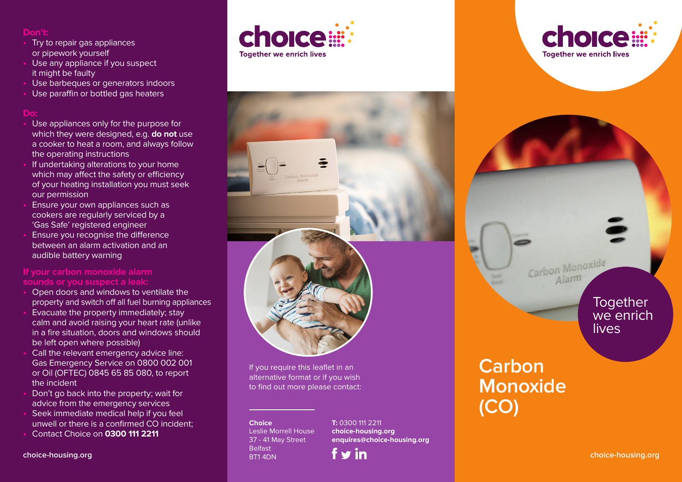### **Don't:**

- **•** Try to repair gas appliances or pipework yourself
- **•** Use any appliance if you suspect it might be faulty
- **•** Use barbeques or generators indoors
- **•** Use paraffin or bottled gas heaters

### **Do:**

- **•** Use appliances only for the purpose for which they were designed, e.g. **do not** use a cooker to heat a room, and always follow the operating instructions
- **•** If undertaking alterations to your home which may affect the safety or efficiency of your heating installation you must seek our permission
- **•** Ensure your own appliances such as cookers are regularly serviced by a 'Gas Safe' registered engineer
- **•** Ensure you recognise the difference between an alarm activation and an audible battery warning

### **If your carbon monoxide alarm sounds or you suspect a leak:**

- **•** Open doors and windows to ventilate the property and switch off all fuel burning appliances
- **•** Evacuate the property immediately; stay calm and avoid raising your heart rate (unlike in a fire situation, doors and windows should be left open where possible)
- **•** Call the relevant emergency advice line: Gas Emergency Service on 0800 002 001 or Oil (OFTEC) 0845 65 85 080, to report the incident
- **•** Don't go back into the property; wait for advice from the emergency services
- **•** Seek immediate medical help if you feel unwell or there is a confirmed CO incident;
- **•** Contact Choice on **0300 111 2211**

### **choice-housing.org**





If you require this leaflet in an alternative format or if you wish to find out more please contact:

### **Choice** Leslie Morrell House 37 - 41 May Street Belfast BT1 4DN

### **T:** 0300 111 2211 **choice-housing.org**

**enquires@choice-housing.org**



lives

Carbon Monoxide Alarm

> **Together** we enrich

# **Carbon Monoxide (CO)**

**choice-housing.org**